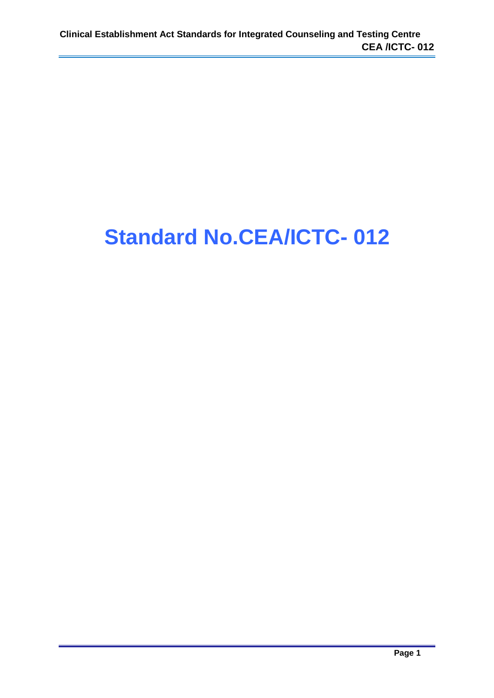## **Standard No.CEA/ICTC- 012**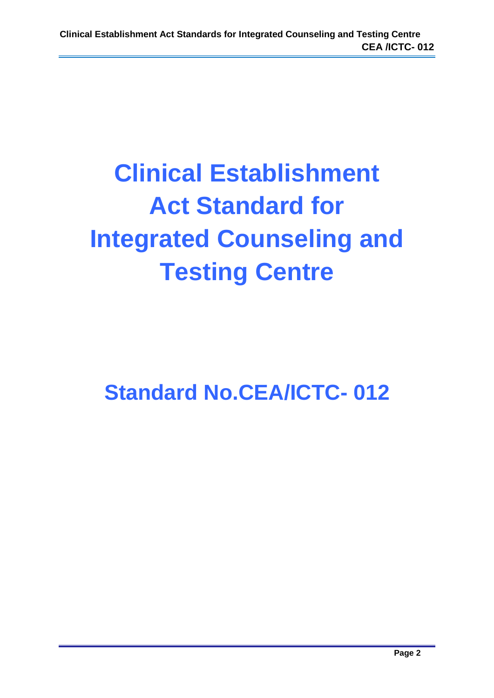# **Clinical Establishment Act Standard for Integrated Counseling and Testing Centre**

**Standard No.CEA/ICTC- 012**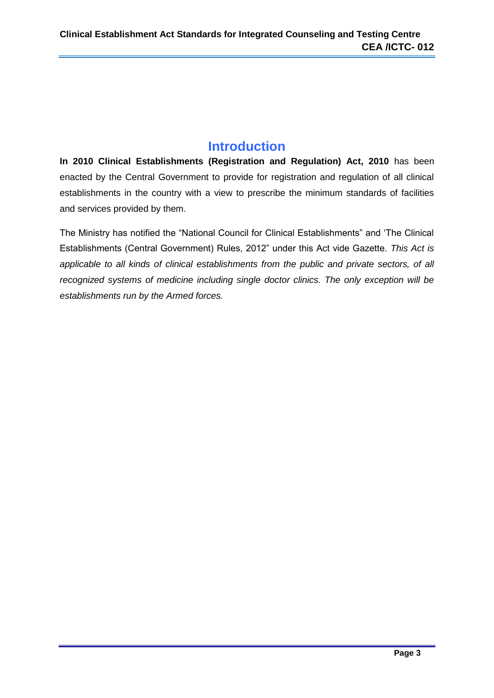## **Introduction**

**In 2010 Clinical Establishments (Registration and Regulation) Act, 2010** has been enacted by the Central Government to provide for registration and regulation of all clinical establishments in the country with a view to prescribe the minimum standards of facilities and services provided by them.

The Ministry has notified the "National Council for Clinical Establishments" and 'The Clinical Establishments (Central Government) Rules, 2012" under this Act vide Gazette. *This Act is applicable to all kinds of clinical establishments from the public and private sectors, of all recognized systems of medicine including single doctor clinics. The only exception will be establishments run by the Armed forces.*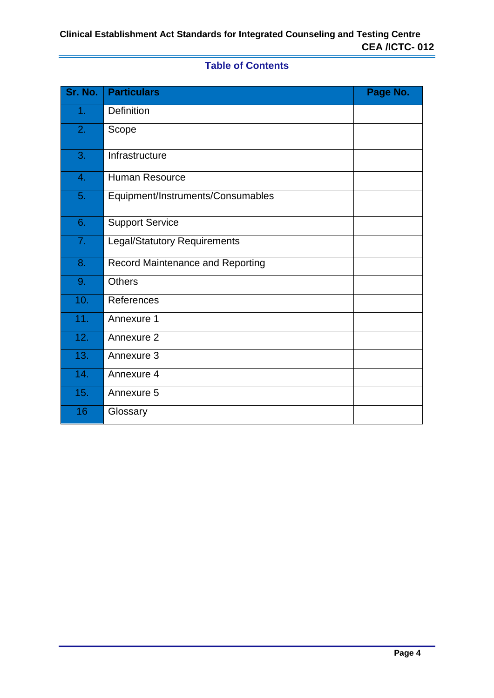## **Table of Contents**

| Sr. No. | <b>Particulars</b>                      | Page No. |
|---------|-----------------------------------------|----------|
| 1.      | <b>Definition</b>                       |          |
| 2.      | Scope                                   |          |
| 3.      | Infrastructure                          |          |
| 4.      | <b>Human Resource</b>                   |          |
| 5.      | Equipment/Instruments/Consumables       |          |
| 6.      | <b>Support Service</b>                  |          |
| 7.      | <b>Legal/Statutory Requirements</b>     |          |
| 8.      | <b>Record Maintenance and Reporting</b> |          |
| 9.      | <b>Others</b>                           |          |
| 10.     | References                              |          |
| 11.     | Annexure 1                              |          |
| 12.     | Annexure 2                              |          |
| 13.     | Annexure 3                              |          |
| 14.     | Annexure 4                              |          |
| 15.     | Annexure 5                              |          |
| 16      | Glossary                                |          |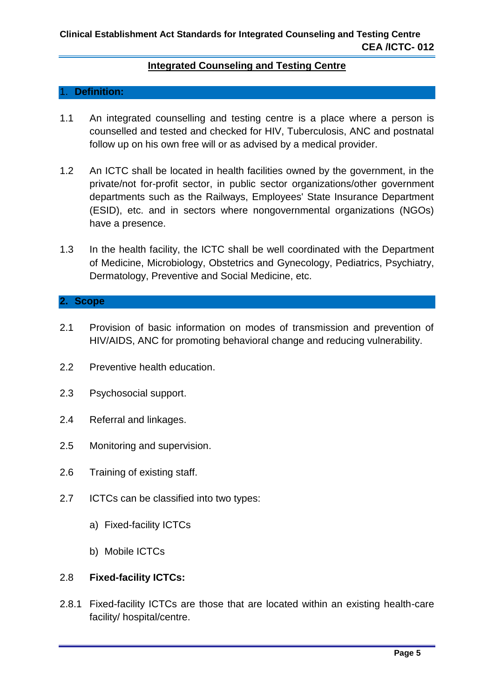#### **Integrated Counseling and Testing Centre**

#### 1. **Definition:**

- 1.1 An integrated counselling and testing centre is a place where a person is counselled and tested and checked for HIV, Tuberculosis, ANC and postnatal follow up on his own free will or as advised by a medical provider.
- 1.2 An ICTC shall be located in health facilities owned by the government, in the private/not for-profit sector, in public sector organizations/other government departments such as the Railways, Employees' State Insurance Department (ESID), etc. and in sectors where nongovernmental organizations (NGOs) have a presence.
- 1.3 In the health facility, the ICTC shall be well coordinated with the Department of Medicine, Microbiology, Obstetrics and Gynecology, Pediatrics, Psychiatry, Dermatology, Preventive and Social Medicine, etc.

#### **2. Scope**

- 2.1 Provision of basic information on modes of transmission and prevention of HIV/AIDS, ANC for promoting behavioral change and reducing vulnerability.
- 2.2 Preventive health education.
- 2.3 Psychosocial support.
- 2.4 Referral and linkages.
- 2.5 Monitoring and supervision.
- 2.6 Training of existing staff.
- 2.7 ICTCs can be classified into two types:
	- a) Fixed-facility ICTCs
	- b) Mobile ICTCs

#### 2.8 **Fixed-facility ICTCs:**

2.8.1 Fixed-facility ICTCs are those that are located within an existing health-care facility/ hospital/centre.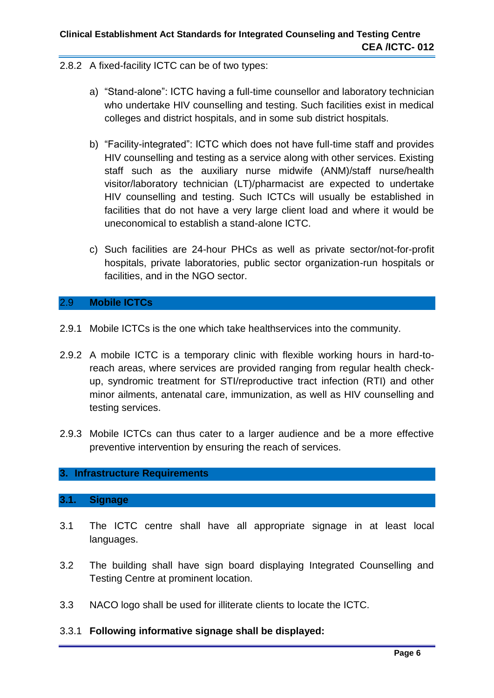#### 2.8.2 A fixed-facility ICTC can be of two types:

- a) "Stand-alone": ICTC having a full-time counsellor and laboratory technician who undertake HIV counselling and testing. Such facilities exist in medical colleges and district hospitals, and in some sub district hospitals.
- b) "Facility-integrated": ICTC which does not have full-time staff and provides HIV counselling and testing as a service along with other services. Existing staff such as the auxiliary nurse midwife (ANM)/staff nurse/health visitor/laboratory technician (LT)/pharmacist are expected to undertake HIV counselling and testing. Such ICTCs will usually be established in facilities that do not have a very large client load and where it would be uneconomical to establish a stand-alone ICTC.
- c) Such facilities are 24-hour PHCs as well as private sector/not-for-profit hospitals, private laboratories, public sector organization-run hospitals or facilities, and in the NGO sector.

#### 2.9 **Mobile ICTCs**

- 2.9.1 Mobile ICTCs is the one which take healthservices into the community.
- 2.9.2 A mobile ICTC is a temporary clinic with flexible working hours in hard-toreach areas, where services are provided ranging from regular health checkup, syndromic treatment for STI/reproductive tract infection (RTI) and other minor ailments, antenatal care, immunization, as well as HIV counselling and testing services.
- 2.9.3 Mobile ICTCs can thus cater to a larger audience and be a more effective preventive intervention by ensuring the reach of services.

### **3. Infrastructure Requirements**

#### **3.1. Signage**

- 3.1 The ICTC centre shall have all appropriate signage in at least local languages.
- 3.2 The building shall have sign board displaying Integrated Counselling and Testing Centre at prominent location.
- 3.3 NACO logo shall be used for illiterate clients to locate the ICTC.
- 3.3.1 **Following informative signage shall be displayed:**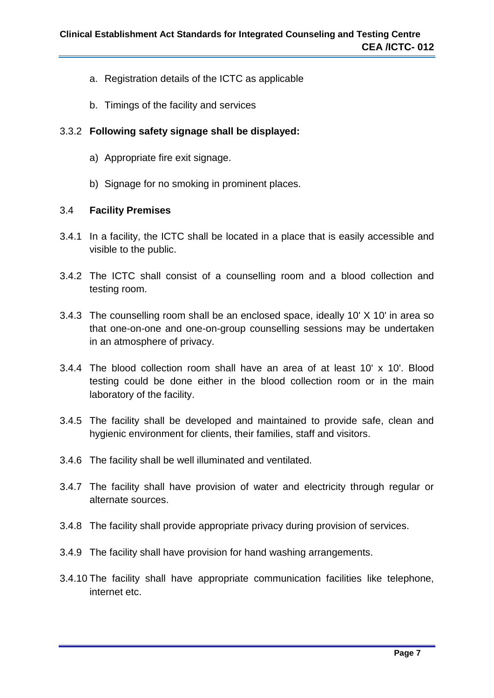- a. Registration details of the ICTC as applicable
- b. Timings of the facility and services

#### 3.3.2 **Following safety signage shall be displayed:**

- a) Appropriate fire exit signage.
- b) Signage for no smoking in prominent places.

#### 3.4 **Facility Premises**

- 3.4.1 In a facility, the ICTC shall be located in a place that is easily accessible and visible to the public.
- 3.4.2 The ICTC shall consist of a counselling room and a blood collection and testing room.
- 3.4.3 The counselling room shall be an enclosed space, ideally 10' X 10' in area so that one-on-one and one-on-group counselling sessions may be undertaken in an atmosphere of privacy.
- 3.4.4 The blood collection room shall have an area of at least 10' x 10'. Blood testing could be done either in the blood collection room or in the main laboratory of the facility.
- 3.4.5 The facility shall be developed and maintained to provide safe, clean and hygienic environment for clients, their families, staff and visitors.
- 3.4.6 The facility shall be well illuminated and ventilated.
- 3.4.7 The facility shall have provision of water and electricity through regular or alternate sources.
- 3.4.8 The facility shall provide appropriate privacy during provision of services.
- 3.4.9 The facility shall have provision for hand washing arrangements.
- 3.4.10 The facility shall have appropriate communication facilities like telephone, internet etc.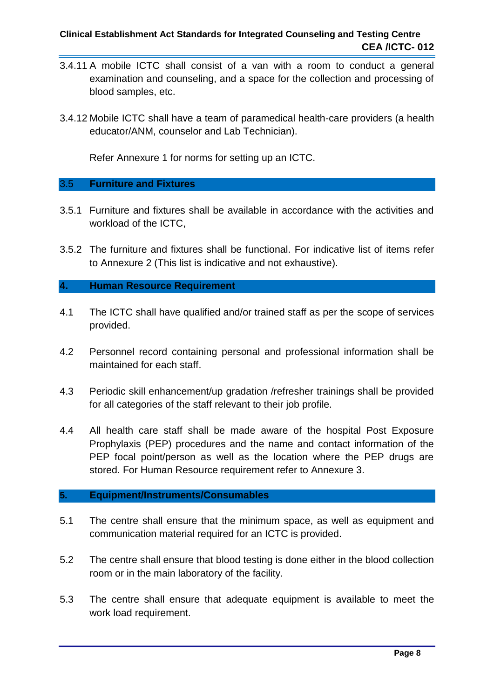- 3.4.11 A mobile ICTC shall consist of a van with a room to conduct a general examination and counseling, and a space for the collection and processing of blood samples, etc.
- 3.4.12 Mobile ICTC shall have a team of paramedical health-care providers (a health educator/ANM, counselor and Lab Technician).

Refer Annexure 1 for norms for setting up an ICTC.

#### 3.5 **Furniture and Fixtures**

- 3.5.1 Furniture and fixtures shall be available in accordance with the activities and workload of the ICTC,
- 3.5.2 The furniture and fixtures shall be functional. For indicative list of items refer to Annexure 2 (This list is indicative and not exhaustive).

#### **4. Human Resource Requirement**

- 4.1 The ICTC shall have qualified and/or trained staff as per the scope of services provided.
- 4.2 Personnel record containing personal and professional information shall be maintained for each staff.
- 4.3 Periodic skill enhancement/up gradation /refresher trainings shall be provided for all categories of the staff relevant to their job profile.
- 4.4 All health care staff shall be made aware of the hospital Post Exposure Prophylaxis (PEP) procedures and the name and contact information of the PEP focal point/person as well as the location where the PEP drugs are stored. For Human Resource requirement refer to Annexure 3.

#### **5. Equipment/Instruments/Consumables**

- 5.1 The centre shall ensure that the minimum space, as well as equipment and communication material required for an ICTC is provided.
- 5.2 The centre shall ensure that blood testing is done either in the blood collection room or in the main laboratory of the facility.
- 5.3 The centre shall ensure that adequate equipment is available to meet the work load requirement.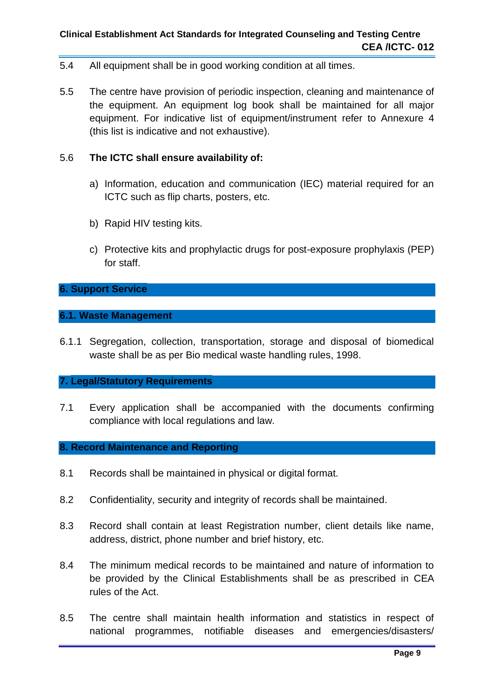- 5.4 All equipment shall be in good working condition at all times.
- 5.5 The centre have provision of periodic inspection, cleaning and maintenance of the equipment. An equipment log book shall be maintained for all major equipment. For indicative list of equipment/instrument refer to Annexure 4 (this list is indicative and not exhaustive).

#### 5.6 **The ICTC shall ensure availability of:**

- a) Information, education and communication (IEC) material required for an ICTC such as flip charts, posters, etc.
- b) Rapid HIV testing kits.
- c) Protective kits and prophylactic drugs for post-exposure prophylaxis (PEP) for staff.

#### **6. Support Service**

#### **6.1. Waste Management**

6.1.1 Segregation, collection, transportation, storage and disposal of biomedical waste shall be as per Bio medical waste handling rules, 1998.

#### **7. Legal/Statutory Requirements**

7.1 Every application shall be accompanied with the documents confirming compliance with local regulations and law.

#### **8. Record Maintenance and Reporting**

- 8.1 Records shall be maintained in physical or digital format.
- 8.2 Confidentiality, security and integrity of records shall be maintained.
- 8.3 Record shall contain at least Registration number, client details like name, address, district, phone number and brief history, etc.
- 8.4 The minimum medical records to be maintained and nature of information to be provided by the Clinical Establishments shall be as prescribed in CEA rules of the Act.
- 8.5 The centre shall maintain health information and statistics in respect of national programmes, notifiable diseases and emergencies/disasters/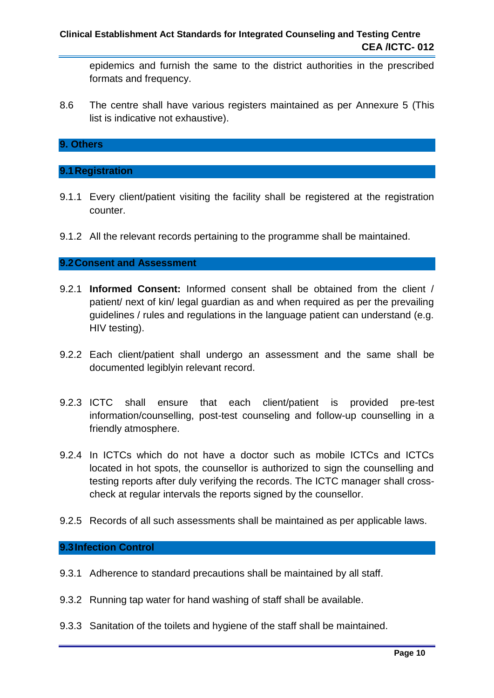epidemics and furnish the same to the district authorities in the prescribed formats and frequency.

8.6 The centre shall have various registers maintained as per Annexure 5 (This list is indicative not exhaustive).

#### **9. Others**

#### **9.1Registration**

- 9.1.1 Every client/patient visiting the facility shall be registered at the registration counter.
- 9.1.2 All the relevant records pertaining to the programme shall be maintained.

#### **9.2Consent and Assessment**

- 9.2.1 **Informed Consent:** Informed consent shall be obtained from the client / patient/ next of kin/ legal guardian as and when required as per the prevailing guidelines / rules and regulations in the language patient can understand (e.g. HIV testing).
- 9.2.2 Each client/patient shall undergo an assessment and the same shall be documented legiblyin relevant record.
- 9.2.3 ICTC shall ensure that each client/patient is provided pre-test information/counselling, post-test counseling and follow-up counselling in a friendly atmosphere.
- 9.2.4 In ICTCs which do not have a doctor such as mobile ICTCs and ICTCs located in hot spots, the counsellor is authorized to sign the counselling and testing reports after duly verifying the records. The ICTC manager shall crosscheck at regular intervals the reports signed by the counsellor.
- 9.2.5 Records of all such assessments shall be maintained as per applicable laws.

#### **9.3Infection Control**

- 9.3.1 Adherence to standard precautions shall be maintained by all staff.
- 9.3.2 Running tap water for hand washing of staff shall be available.
- 9.3.3 Sanitation of the toilets and hygiene of the staff shall be maintained.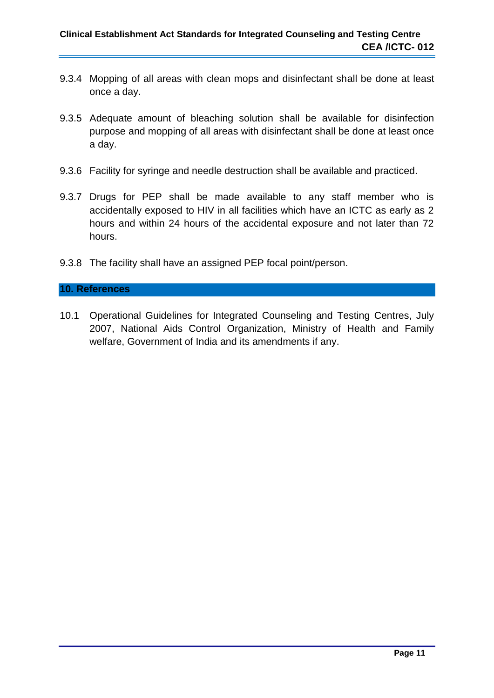- 9.3.4 Mopping of all areas with clean mops and disinfectant shall be done at least once a day.
- 9.3.5 Adequate amount of bleaching solution shall be available for disinfection purpose and mopping of all areas with disinfectant shall be done at least once a day.
- 9.3.6 Facility for syringe and needle destruction shall be available and practiced.
- 9.3.7 Drugs for PEP shall be made available to any staff member who is accidentally exposed to HIV in all facilities which have an ICTC as early as 2 hours and within 24 hours of the accidental exposure and not later than 72 hours.
- 9.3.8 The facility shall have an assigned PEP focal point/person.

#### **10. References**

10.1 Operational Guidelines for Integrated Counseling and Testing Centres, July 2007, National Aids Control Organization, Ministry of Health and Family welfare, Government of India and its amendments if any.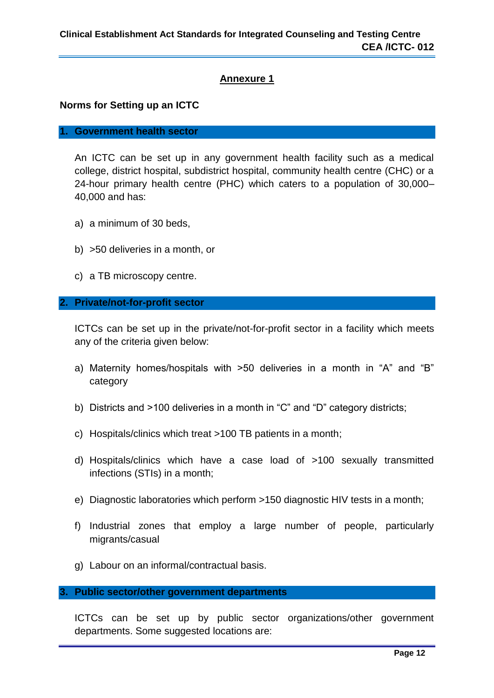#### **Norms for Setting up an ICTC**

#### **1. Government health sector**

An ICTC can be set up in any government health facility such as a medical college, district hospital, subdistrict hospital, community health centre (CHC) or a 24-hour primary health centre (PHC) which caters to a population of 30,000– 40,000 and has:

- a) a minimum of 30 beds,
- b) >50 deliveries in a month, or
- c) a TB microscopy centre.

#### **2. Private/not-for-profit sector**

ICTCs can be set up in the private/not-for-profit sector in a facility which meets any of the criteria given below:

- a) Maternity homes/hospitals with >50 deliveries in a month in "A" and "B" category
- b) Districts and >100 deliveries in a month in "C" and "D" category districts;
- c) Hospitals/clinics which treat >100 TB patients in a month;
- d) Hospitals/clinics which have a case load of >100 sexually transmitted infections (STIs) in a month;
- e) Diagnostic laboratories which perform >150 diagnostic HIV tests in a month;
- f) Industrial zones that employ a large number of people, particularly migrants/casual
- g) Labour on an informal/contractual basis.

#### **3. Public sector/other government departments**

ICTCs can be set up by public sector organizations/other government departments. Some suggested locations are: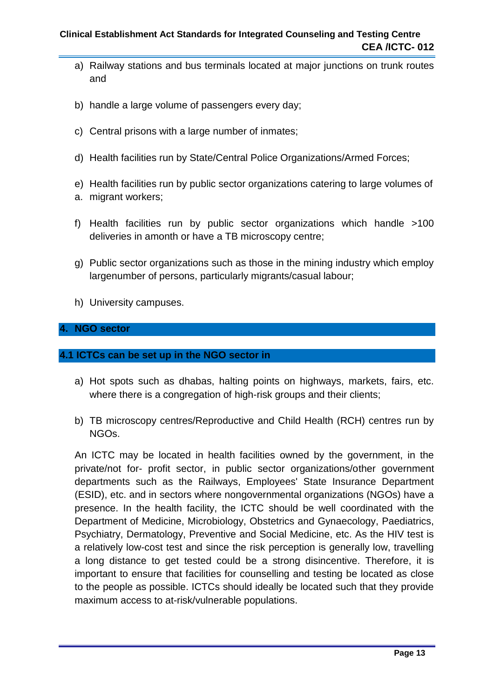#### **Clinical Establishment Act Standards for Integrated Counseling and Testing Centre CEA /ICTC- 012**

- a) Railway stations and bus terminals located at major junctions on trunk routes and
- b) handle a large volume of passengers every day:
- c) Central prisons with a large number of inmates;
- d) Health facilities run by State/Central Police Organizations/Armed Forces;
- e) Health facilities run by public sector organizations catering to large volumes of
- a. migrant workers;
- f) Health facilities run by public sector organizations which handle >100 deliveries in amonth or have a TB microscopy centre;
- g) Public sector organizations such as those in the mining industry which employ largenumber of persons, particularly migrants/casual labour;
- h) University campuses.

#### **4. NGO sector**

#### **4.1 ICTCs can be set up in the NGO sector in**

- a) Hot spots such as dhabas, halting points on highways, markets, fairs, etc. where there is a congregation of high-risk groups and their clients;
- b) TB microscopy centres/Reproductive and Child Health (RCH) centres run by NGOs.

An ICTC may be located in health facilities owned by the government, in the private/not for- profit sector, in public sector organizations/other government departments such as the Railways, Employees' State Insurance Department (ESID), etc. and in sectors where nongovernmental organizations (NGOs) have a presence. In the health facility, the ICTC should be well coordinated with the Department of Medicine, Microbiology, Obstetrics and Gynaecology, Paediatrics, Psychiatry, Dermatology, Preventive and Social Medicine, etc. As the HIV test is a relatively low-cost test and since the risk perception is generally low, travelling a long distance to get tested could be a strong disincentive. Therefore, it is important to ensure that facilities for counselling and testing be located as close to the people as possible. ICTCs should ideally be located such that they provide maximum access to at-risk/vulnerable populations.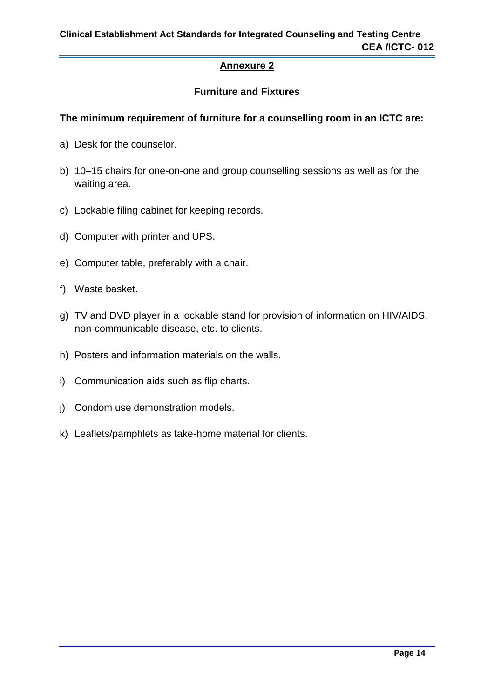## **Furniture and Fixtures**

#### **The minimum requirement of furniture for a counselling room in an ICTC are:**

- a) Desk for the counselor.
- b) 10–15 chairs for one-on-one and group counselling sessions as well as for the waiting area.
- c) Lockable filing cabinet for keeping records.
- d) Computer with printer and UPS.
- e) Computer table, preferably with a chair.
- f) Waste basket.
- g) TV and DVD player in a lockable stand for provision of information on HIV/AIDS, non-communicable disease, etc. to clients.
- h) Posters and information materials on the walls.
- i) Communication aids such as flip charts.
- j) Condom use demonstration models.
- k) Leaflets/pamphlets as take-home material for clients.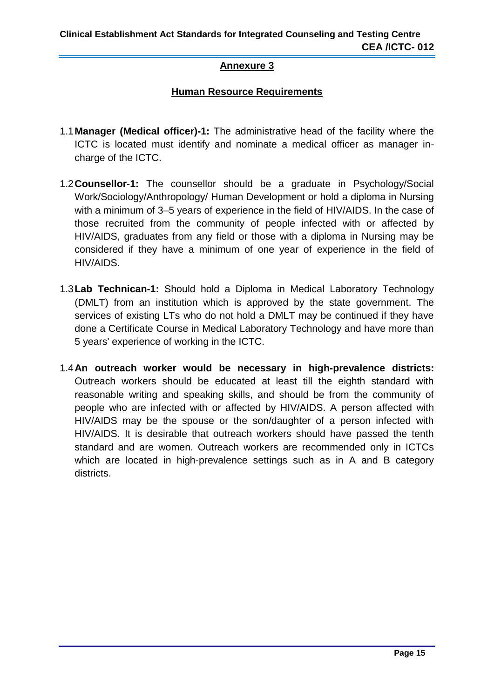## **Human Resource Requirements**

- 1.1**Manager (Medical officer)-1:** The administrative head of the facility where the ICTC is located must identify and nominate a medical officer as manager incharge of the ICTC.
- 1.2**Counsellor-1:** The counsellor should be a graduate in Psychology/Social Work/Sociology/Anthropology/ Human Development or hold a diploma in Nursing with a minimum of 3–5 years of experience in the field of HIV/AIDS. In the case of those recruited from the community of people infected with or affected by HIV/AIDS, graduates from any field or those with a diploma in Nursing may be considered if they have a minimum of one year of experience in the field of HIV/AIDS.
- 1.3**Lab Technican-1:** Should hold a Diploma in Medical Laboratory Technology (DMLT) from an institution which is approved by the state government. The services of existing LTs who do not hold a DMLT may be continued if they have done a Certificate Course in Medical Laboratory Technology and have more than 5 years' experience of working in the ICTC.
- 1.4**An outreach worker would be necessary in high-prevalence districts:**  Outreach workers should be educated at least till the eighth standard with reasonable writing and speaking skills, and should be from the community of people who are infected with or affected by HIV/AIDS. A person affected with HIV/AIDS may be the spouse or the son/daughter of a person infected with HIV/AIDS. It is desirable that outreach workers should have passed the tenth standard and are women. Outreach workers are recommended only in ICTCs which are located in high-prevalence settings such as in A and B category districts.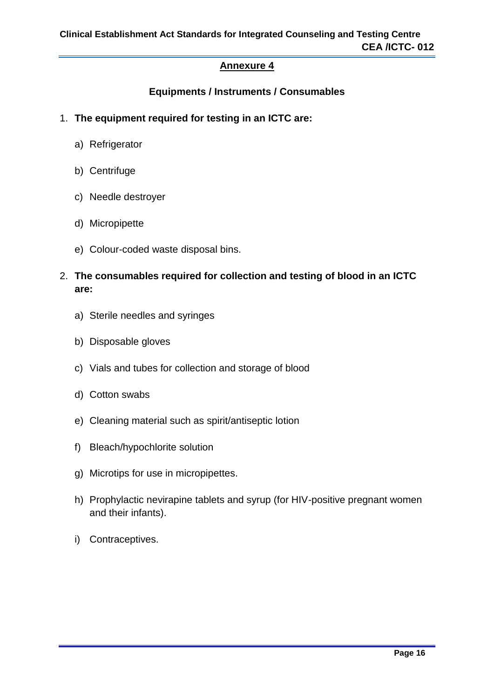## **Equipments / Instruments / Consumables**

- 1. **The equipment required for testing in an ICTC are:**
	- a) Refrigerator
	- b) Centrifuge
	- c) Needle destroyer
	- d) Micropipette
	- e) Colour-coded waste disposal bins.
- 2. **The consumables required for collection and testing of blood in an ICTC are:**
	- a) Sterile needles and syringes
	- b) Disposable gloves
	- c) Vials and tubes for collection and storage of blood
	- d) Cotton swabs
	- e) Cleaning material such as spirit/antiseptic lotion
	- f) Bleach/hypochlorite solution
	- g) Microtips for use in micropipettes.
	- h) Prophylactic nevirapine tablets and syrup (for HIV-positive pregnant women and their infants).
	- i) Contraceptives.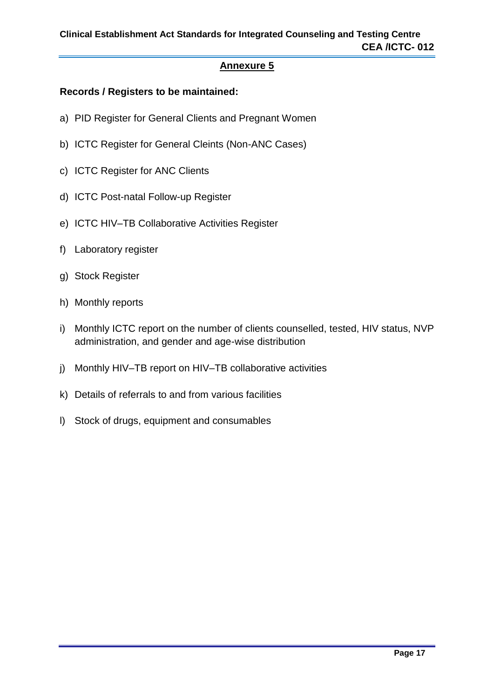#### **Records / Registers to be maintained:**

- a) PID Register for General Clients and Pregnant Women
- b) ICTC Register for General Cleints (Non-ANC Cases)
- c) ICTC Register for ANC Clients
- d) ICTC Post-natal Follow-up Register
- e) ICTC HIV–TB Collaborative Activities Register
- f) Laboratory register
- g) Stock Register
- h) Monthly reports
- i) Monthly ICTC report on the number of clients counselled, tested, HIV status, NVP administration, and gender and age-wise distribution
- j) Monthly HIV–TB report on HIV–TB collaborative activities
- k) Details of referrals to and from various facilities
- l) Stock of drugs, equipment and consumables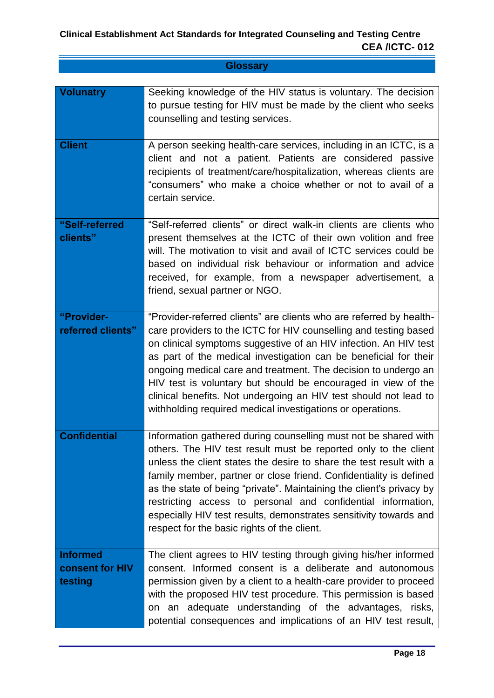| <b>Glossary</b> |
|-----------------|
|                 |

| <b>Volunatry</b>                                     | Seeking knowledge of the HIV status is voluntary. The decision<br>to pursue testing for HIV must be made by the client who seeks<br>counselling and testing services.                                                                                                                                                                                                                                                                                                                                                                                |
|------------------------------------------------------|------------------------------------------------------------------------------------------------------------------------------------------------------------------------------------------------------------------------------------------------------------------------------------------------------------------------------------------------------------------------------------------------------------------------------------------------------------------------------------------------------------------------------------------------------|
| <b>Client</b>                                        | A person seeking health-care services, including in an ICTC, is a<br>client and not a patient. Patients are considered passive<br>recipients of treatment/care/hospitalization, whereas clients are<br>"consumers" who make a choice whether or not to avail of a<br>certain service.                                                                                                                                                                                                                                                                |
| "Self-referred<br>clients"                           | "Self-referred clients" or direct walk-in clients are clients who<br>present themselves at the ICTC of their own volition and free<br>will. The motivation to visit and avail of ICTC services could be<br>based on individual risk behaviour or information and advice<br>received, for example, from a newspaper advertisement, a<br>friend, sexual partner or NGO.                                                                                                                                                                                |
| "Provider-<br>referred clients"                      | "Provider-referred clients" are clients who are referred by health-<br>care providers to the ICTC for HIV counselling and testing based<br>on clinical symptoms suggestive of an HIV infection. An HIV test<br>as part of the medical investigation can be beneficial for their<br>ongoing medical care and treatment. The decision to undergo an<br>HIV test is voluntary but should be encouraged in view of the<br>clinical benefits. Not undergoing an HIV test should not lead to<br>withholding required medical investigations or operations. |
| <b>Confidential</b>                                  | Information gathered during counselling must not be shared with<br>others. The HIV test result must be reported only to the client<br>unless the client states the desire to share the test result with a<br>family member, partner or close friend. Confidentiality is defined<br>as the state of being "private". Maintaining the client's privacy by<br>restricting access to personal and confidential information,<br>especially HIV test results, demonstrates sensitivity towards and<br>respect for the basic rights of the client.          |
| <b>Informed</b><br><b>consent for HIV</b><br>testing | The client agrees to HIV testing through giving his/her informed<br>consent. Informed consent is a deliberate and autonomous<br>permission given by a client to a health-care provider to proceed<br>with the proposed HIV test procedure. This permission is based<br>on an adequate understanding of the advantages, risks,<br>potential consequences and implications of an HIV test result,                                                                                                                                                      |